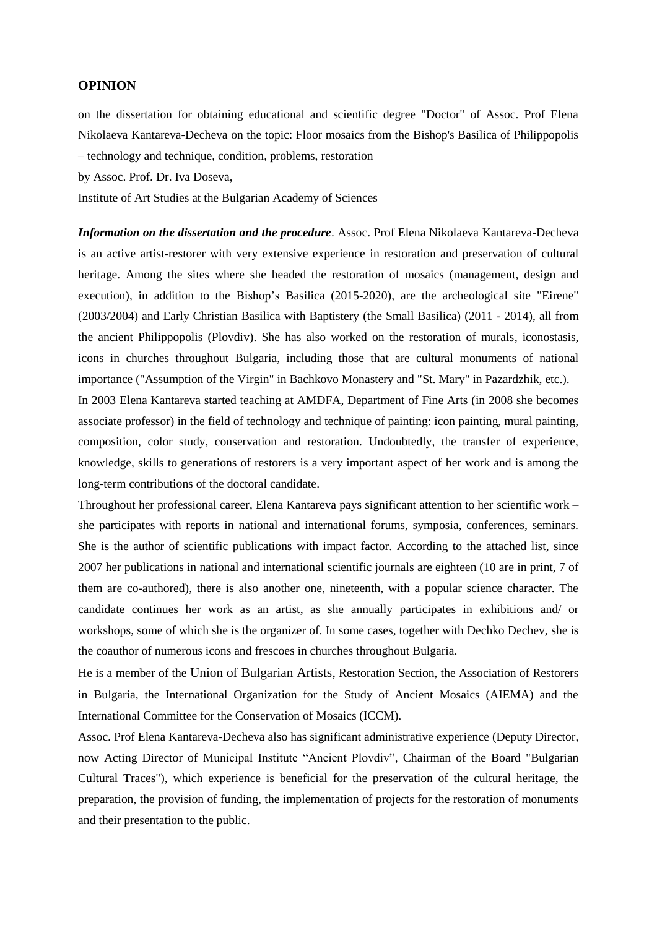## **OPINION**

on the dissertation for obtaining educational and scientific degree "Doctor" of Assoc. Prof Elena Nikolaeva Kantareva-Decheva on the topic: Floor mosaics from the Bishop's Basilica of Philippopolis – technology and technique, condition, problems, restoration

by Assoc. Prof. Dr. Iva Doseva,

Institute of Art Studies at the Bulgarian Academy of Sciences

*Information on the dissertation and the procedure*. Assoc. Prof Elena Nikolaeva Kantareva-Decheva is an active artist-restorer with very extensive experience in restoration and preservation of cultural heritage. Among the sites where she headed the restoration of mosaics (management, design and execution), in addition to the Bishop's Basilica (2015-2020), are the archeological site "Eirene" (2003/2004) and Early Christian Basilica with Baptistery (the Small Basilica) (2011 - 2014), all from the ancient Philippopolis (Plovdiv). She has also worked on the restoration of murals, iconostasis, icons in churches throughout Bulgaria, including those that are cultural monuments of national importance ("Assumption of the Virgin" in Bachkovo Monastery and "St. Mary" in Pazardzhik, etc.). In 2003 Elena Kantareva started teaching at AMDFA, Department of Fine Arts (in 2008 she becomes associate professor) in the field of technology and technique of painting: icon painting, mural painting, composition, color study, conservation and restoration. Undoubtedly, the transfer of experience, knowledge, skills to generations of restorers is a very important aspect of her work and is among the long-term contributions of the doctoral candidate.

Throughout her professional career, Elena Kantareva pays significant attention to her scientific work – she participates with reports in national and international forums, symposia, conferences, seminars. She is the author of scientific publications with impact factor. According to the attached list, since 2007 her publications in national and international scientific journals are eighteen (10 are in print, 7 of them are co-authored), there is also another one, nineteenth, with a popular science character. The candidate continues her work as an artist, as she annually participates in exhibitions and/ or workshops, some of which she is the organizer of. In some cases, together with Dechko Dechev, she is the coauthor of numerous icons and frescoes in churches throughout Bulgaria.

He is a member of the Union of Bulgarian Artists, Restoration Section, the Association of Restorers in Bulgaria, the International Organization for the Study of Ancient Mosaics (AIEMA) and the International Committee for the Conservation of Mosaics (ICCM).

Assoc. Prof Elena Kantareva-Decheva also has significant administrative experience (Deputy Director, now Acting Director of Municipal Institute "Ancient Plovdiv", Chairman of the Board "Bulgarian Cultural Traces"), which experience is beneficial for the preservation of the cultural heritage, the preparation, the provision of funding, the implementation of projects for the restoration of monuments and their presentation to the public.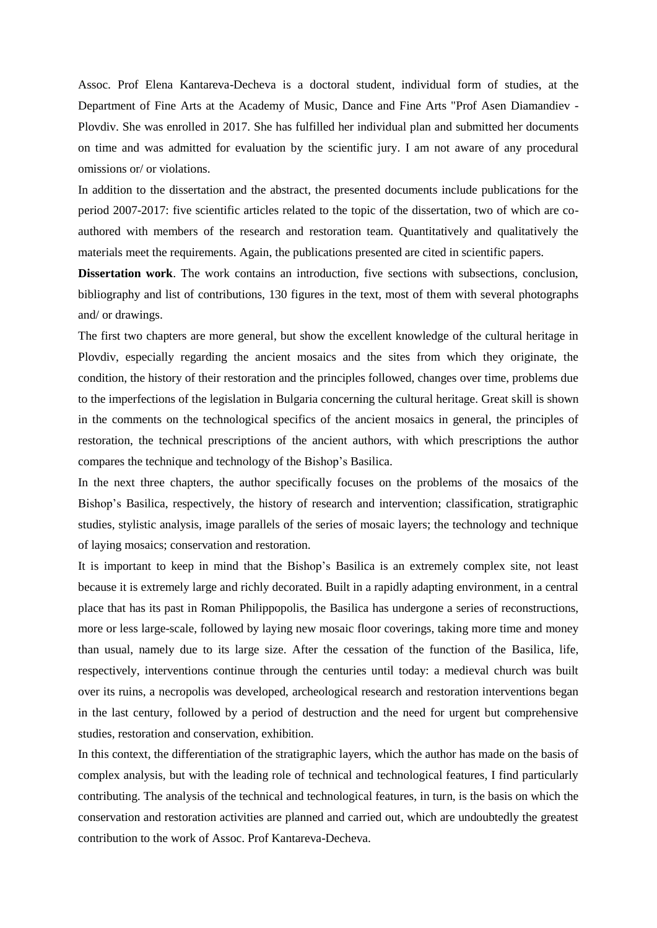Assoc. Prof Elena Kantareva-Decheva is a doctoral student, individual form of studies, at the Department of Fine Arts at the Academy of Music, Dance and Fine Arts "Prof Asen Diamandiev - Plovdiv. She was enrolled in 2017. She has fulfilled her individual plan and submitted her documents on time and was admitted for evaluation by the scientific jury. I am not aware of any procedural omissions or/ or violations.

In addition to the dissertation and the abstract, the presented documents include publications for the period 2007-2017: five scientific articles related to the topic of the dissertation, two of which are coauthored with members of the research and restoration team. Quantitatively and qualitatively the materials meet the requirements. Again, the publications presented are cited in scientific papers.

**Dissertation work**. The work contains an introduction, five sections with subsections, conclusion, bibliography and list of contributions, 130 figures in the text, most of them with several photographs and/ or drawings.

The first two chapters are more general, but show the excellent knowledge of the cultural heritage in Plovdiv, especially regarding the ancient mosaics and the sites from which they originate, the condition, the history of their restoration and the principles followed, changes over time, problems due to the imperfections of the legislation in Bulgaria concerning the cultural heritage. Great skill is shown in the comments on the technological specifics of the ancient mosaics in general, the principles of restoration, the technical prescriptions of the ancient authors, with which prescriptions the author compares the technique and technology of the Bishop's Basilica.

In the next three chapters, the author specifically focuses on the problems of the mosaics of the Bishop's Basilica, respectively, the history of research and intervention; classification, stratigraphic studies, stylistic analysis, image parallels of the series of mosaic layers; the technology and technique of laying mosaics; conservation and restoration.

It is important to keep in mind that the Bishop's Basilica is an extremely complex site, not least because it is extremely large and richly decorated. Built in a rapidly adapting environment, in a central place that has its past in Roman Philippopolis, the Basilica has undergone a series of reconstructions, more or less large-scale, followed by laying new mosaic floor coverings, taking more time and money than usual, namely due to its large size. After the cessation of the function of the Basilica, life, respectively, interventions continue through the centuries until today: a medieval church was built over its ruins, a necropolis was developed, archeological research and restoration interventions began in the last century, followed by a period of destruction and the need for urgent but comprehensive studies, restoration and conservation, exhibition.

In this context, the differentiation of the stratigraphic layers, which the author has made on the basis of complex analysis, but with the leading role of technical and technological features, I find particularly contributing. The analysis of the technical and technological features, in turn, is the basis on which the conservation and restoration activities are planned and carried out, which are undoubtedly the greatest contribution to the work of Assoc. Prof Kantareva-Decheva.